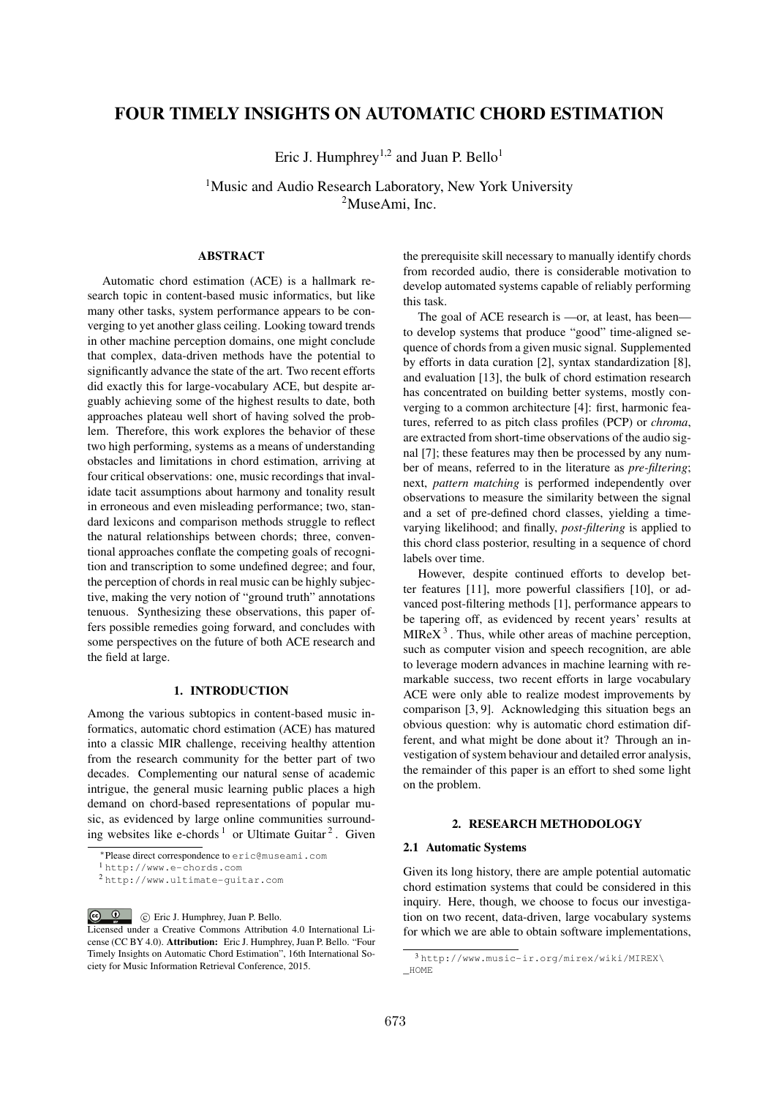# FOUR TIMELY INSIGHTS ON AUTOMATIC CHORD ESTIMATION

Eric J. Humphrey<sup>1,2</sup> and Juan P. Bello<sup>1</sup>

<sup>1</sup>Music and Audio Research Laboratory, New York University <sup>2</sup>MuseAmi, Inc.

# ABSTRACT

Automatic chord estimation (ACE) is a hallmark research topic in content-based music informatics, but like many other tasks, system performance appears to be converging to yet another glass ceiling. Looking toward trends in other machine perception domains, one might conclude that complex, data-driven methods have the potential to significantly advance the state of the art. Two recent efforts did exactly this for large-vocabulary ACE, but despite arguably achieving some of the highest results to date, both approaches plateau well short of having solved the problem. Therefore, this work explores the behavior of these two high performing, systems as a means of understanding obstacles and limitations in chord estimation, arriving at four critical observations: one, music recordings that invalidate tacit assumptions about harmony and tonality result in erroneous and even misleading performance; two, standard lexicons and comparison methods struggle to reflect the natural relationships between chords; three, conventional approaches conflate the competing goals of recognition and transcription to some undefined degree; and four, the perception of chords in real music can be highly subjective, making the very notion of "ground truth" annotations tenuous. Synthesizing these observations, this paper offers possible remedies going forward, and concludes with some perspectives on the future of both ACE research and the field at large.

# 1. INTRODUCTION

Among the various subtopics in content-based music informatics, automatic chord estimation (ACE) has matured into a classic MIR challenge, receiving healthy attention from the research community for the better part of two decades. Complementing our natural sense of academic intrigue, the general music learning public places a high demand on chord-based representations of popular music, as evidenced by large online communities surrounding websites like e-chords<sup>1</sup> or Ultimate Guitar<sup>2</sup>. Given the prerequisite skill necessary to manually identify chords from recorded audio, there is considerable motivation to develop automated systems capable of reliably performing this task.

The goal of ACE research is —or, at least, has been to develop systems that produce "good" time-aligned sequence of chords from a given music signal. Supplemented by efforts in data curation [2], syntax standardization [8], and evaluation [13], the bulk of chord estimation research has concentrated on building better systems, mostly converging to a common architecture [4]: first, harmonic features, referred to as pitch class profiles (PCP) or *chroma*, are extracted from short-time observations of the audio signal [7]; these features may then be processed by any number of means, referred to in the literature as *pre-filtering*; next, *pattern matching* is performed independently over observations to measure the similarity between the signal and a set of pre-defined chord classes, yielding a timevarying likelihood; and finally, *post-filtering* is applied to this chord class posterior, resulting in a sequence of chord labels over time.

However, despite continued efforts to develop better features [11], more powerful classifiers [10], or advanced post-filtering methods [1], performance appears to be tapering off, as evidenced by recent years' results at  $MIREX<sup>3</sup>$ . Thus, while other areas of machine perception, such as computer vision and speech recognition, are able to leverage modern advances in machine learning with remarkable success, two recent efforts in large vocabulary ACE were only able to realize modest improvements by comparison [3, 9]. Acknowledging this situation begs an obvious question: why is automatic chord estimation different, and what might be done about it? Through an investigation of system behaviour and detailed error analysis, the remainder of this paper is an effort to shed some light on the problem.

# 2. RESEARCH METHODOLOGY

### 2.1 Automatic Systems

Given its long history, there are ample potential automatic chord estimation systems that could be considered in this inquiry. Here, though, we choose to focus our investigation on two recent, data-driven, large vocabulary systems for which we are able to obtain software implementations,

<sup>⇤</sup>Please direct correspondence to eric@museami.com

<sup>1</sup> http://www.e-chords.com

<sup>2</sup> http://www.ultimate-guitar.com

 $\circ$   $\circ$ c Eric J. Humphrey, Juan P. Bello. Licensed under a Creative Commons Attribution 4.0 International License (CC BY 4.0). Attribution: Eric J. Humphrey, Juan P. Bello. "Four Timely Insights on Automatic Chord Estimation", 16th International Society for Music Information Retrieval Conference, 2015.

<sup>3</sup> http://www.music-ir.org/mirex/wiki/MIREX\ \_HOME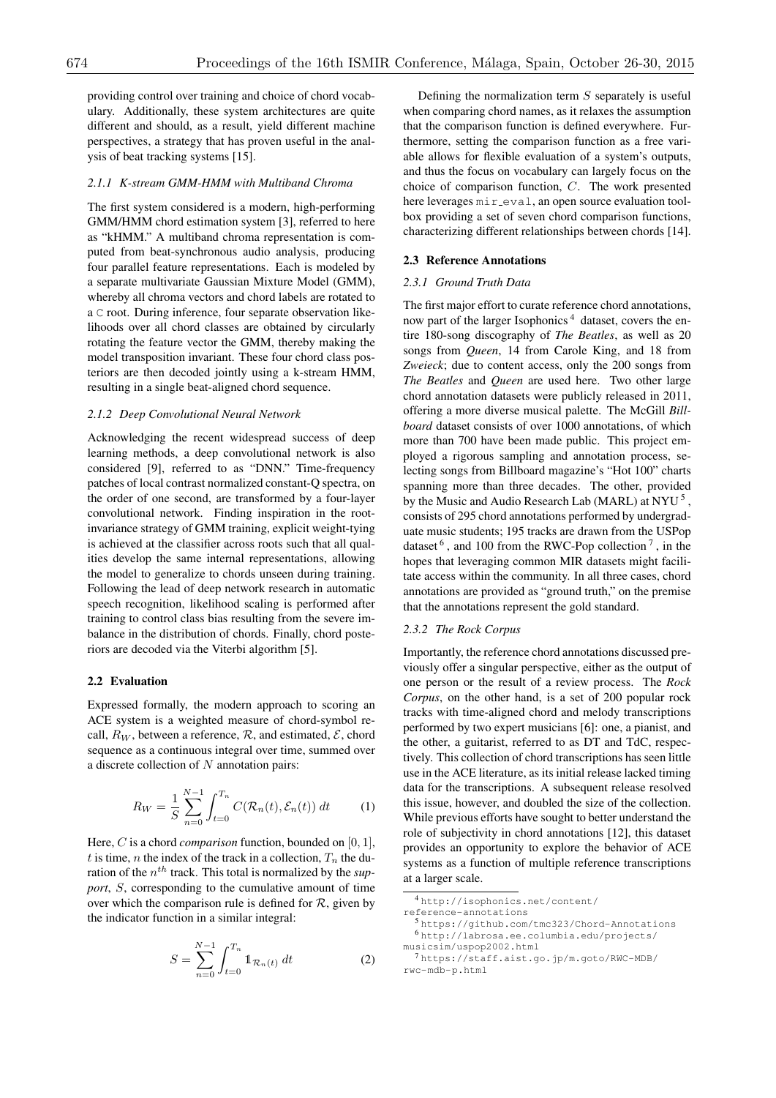providing control over training and choice of chord vocabulary. Additionally, these system architectures are quite different and should, as a result, yield different machine perspectives, a strategy that has proven useful in the analysis of beat tracking systems [15].

# *2.1.1 K-stream GMM-HMM with Multiband Chroma*

The first system considered is a modern, high-performing GMM/HMM chord estimation system [3], referred to here as "kHMM." A multiband chroma representation is computed from beat-synchronous audio analysis, producing four parallel feature representations. Each is modeled by a separate multivariate Gaussian Mixture Model (GMM), whereby all chroma vectors and chord labels are rotated to a C root. During inference, four separate observation likelihoods over all chord classes are obtained by circularly rotating the feature vector the GMM, thereby making the model transposition invariant. These four chord class posteriors are then decoded jointly using a k-stream HMM, resulting in a single beat-aligned chord sequence.

#### *2.1.2 Deep Convolutional Neural Network*

Acknowledging the recent widespread success of deep learning methods, a deep convolutional network is also considered [9], referred to as "DNN." Time-frequency patches of local contrast normalized constant-Q spectra, on the order of one second, are transformed by a four-layer convolutional network. Finding inspiration in the rootinvariance strategy of GMM training, explicit weight-tying is achieved at the classifier across roots such that all qualities develop the same internal representations, allowing the model to generalize to chords unseen during training. Following the lead of deep network research in automatic speech recognition, likelihood scaling is performed after training to control class bias resulting from the severe imbalance in the distribution of chords. Finally, chord posteriors are decoded via the Viterbi algorithm [5].

### 2.2 Evaluation

Expressed formally, the modern approach to scoring an ACE system is a weighted measure of chord-symbol recall,  $R_W$ , between a reference,  $R$ , and estimated,  $\mathcal{E}$ , chord sequence as a continuous integral over time, summed over a discrete collection of *N* annotation pairs:

$$
R_W = \frac{1}{S} \sum_{n=0}^{N-1} \int_{t=0}^{T_n} C(\mathcal{R}_n(t), \mathcal{E}_n(t)) dt \qquad (1)
$$

Here, *C* is a chord *comparison* function, bounded on [0*,* 1], *t* is time, *n* the index of the track in a collection,  $T_n$  the duration of the *nth* track. This total is normalized by the *support*, *S*, corresponding to the cumulative amount of time over which the comparison rule is defined for  $R$ , given by the indicator function in a similar integral:

$$
S = \sum_{n=0}^{N-1} \int_{t=0}^{T_n} \mathbb{1}_{\mathcal{R}_n(t)} dt
$$
 (2)

Defining the normalization term *S* separately is useful when comparing chord names, as it relaxes the assumption that the comparison function is defined everywhere. Furthermore, setting the comparison function as a free variable allows for flexible evaluation of a system's outputs, and thus the focus on vocabulary can largely focus on the choice of comparison function, *C*. The work presented here leverages mir\_eval, an open source evaluation toolbox providing a set of seven chord comparison functions, characterizing different relationships between chords [14].

### 2.3 Reference Annotations

# *2.3.1 Ground Truth Data*

The first major effort to curate reference chord annotations, now part of the larger Isophonics<sup>4</sup> dataset, covers the entire 180-song discography of *The Beatles*, as well as 20 songs from *Queen*, 14 from Carole King, and 18 from *Zweieck*; due to content access, only the 200 songs from *The Beatles* and *Queen* are used here. Two other large chord annotation datasets were publicly released in 2011, offering a more diverse musical palette. The McGill *Billboard* dataset consists of over 1000 annotations, of which more than 700 have been made public. This project employed a rigorous sampling and annotation process, selecting songs from Billboard magazine's "Hot 100" charts spanning more than three decades. The other, provided by the Music and Audio Research Lab (MARL) at NYU<sup>5</sup>, consists of 295 chord annotations performed by undergraduate music students; 195 tracks are drawn from the USPop dataset  $6$ , and 100 from the RWC-Pop collection  $7$ , in the hopes that leveraging common MIR datasets might facilitate access within the community. In all three cases, chord annotations are provided as "ground truth," on the premise that the annotations represent the gold standard.

### *2.3.2 The Rock Corpus*

Importantly, the reference chord annotations discussed previously offer a singular perspective, either as the output of one person or the result of a review process. The *Rock Corpus*, on the other hand, is a set of 200 popular rock tracks with time-aligned chord and melody transcriptions performed by two expert musicians [6]: one, a pianist, and the other, a guitarist, referred to as DT and TdC, respectively. This collection of chord transcriptions has seen little use in the ACE literature, as its initial release lacked timing data for the transcriptions. A subsequent release resolved this issue, however, and doubled the size of the collection. While previous efforts have sought to better understand the role of subjectivity in chord annotations [12], this dataset provides an opportunity to explore the behavior of ACE systems as a function of multiple reference transcriptions at a larger scale.

<sup>4</sup> http://isophonics.net/content/

reference-annotations

<sup>5</sup> https://github.com/tmc323/Chord-Annotations <sup>6</sup> http://labrosa.ee.columbia.edu/projects/ musicsim/uspop2002.html

<sup>7</sup> https://staff.aist.go.jp/m.goto/RWC-MDB/ rwc-mdb-p.html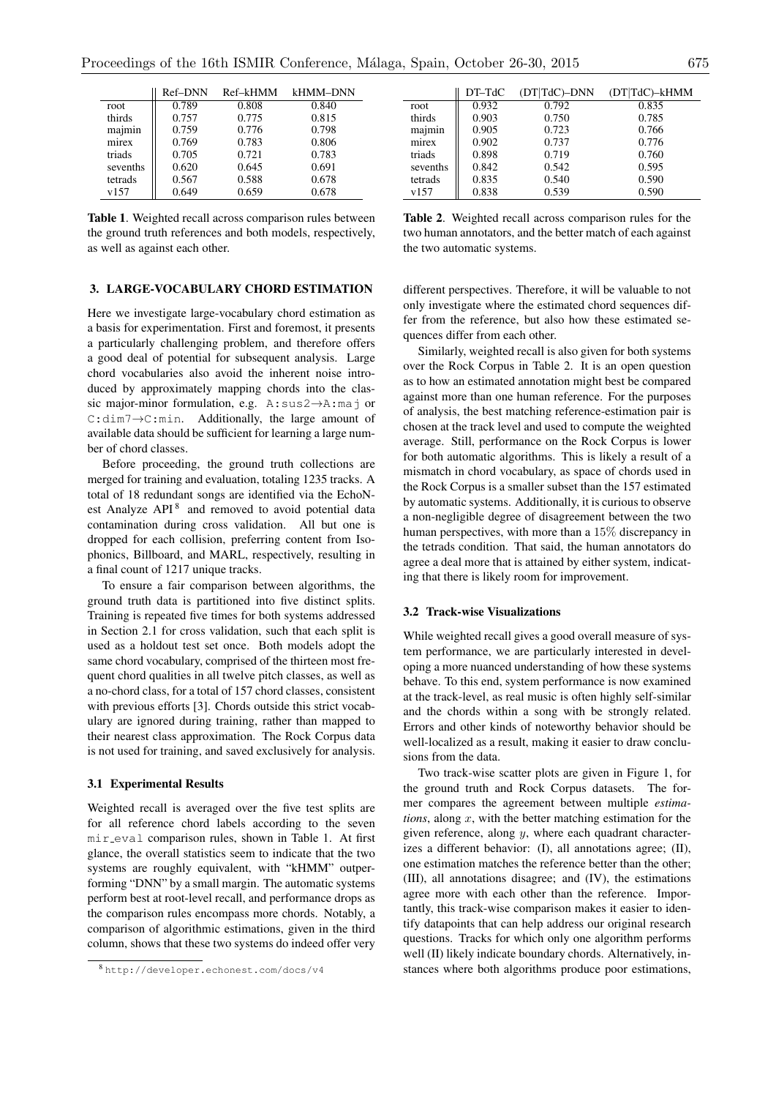|          | Ref-DNN | Ref-kHMM |       |
|----------|---------|----------|-------|
| root     | 0.789   | 0.808    | 0.840 |
| thirds   | 0.757   | 0.775    | 0.815 |
| majmin   | 0.759   | 0.776    | 0.798 |
| mirex    | 0.769   | 0.783    | 0.806 |
| triads   | 0.705   | 0.721    | 0.783 |
| sevenths | 0.620   | 0.645    | 0.691 |
| tetrads  | 0.567   | 0.588    | 0.678 |
| v157     | 0.649   | 0.659    | 0.678 |
|          |         |          |       |

Table 1. Weighted recall across comparison rules between the ground truth references and both models, respectively, as well as against each other.

# 3. LARGE-VOCABULARY CHORD ESTIMATION

Here we investigate large-vocabulary chord estimation as a basis for experimentation. First and foremost, it presents a particularly challenging problem, and therefore offers a good deal of potential for subsequent analysis. Large chord vocabularies also avoid the inherent noise introduced by approximately mapping chords into the classic major-minor formulation, e.g. A:sus2->A:maj or  $C:dim 7 \rightarrow C:min.$  Additionally, the large amount of available data should be sufficient for learning a large number of chord classes.

Before proceeding, the ground truth collections are merged for training and evaluation, totaling 1235 tracks. A total of 18 redundant songs are identified via the EchoNest Analyze  $API<sup>8</sup>$  and removed to avoid potential data contamination during cross validation. All but one is dropped for each collision, preferring content from Isophonics, Billboard, and MARL, respectively, resulting in a final count of 1217 unique tracks.

To ensure a fair comparison between algorithms, the ground truth data is partitioned into five distinct splits. Training is repeated five times for both systems addressed in Section 2.1 for cross validation, such that each split is used as a holdout test set once. Both models adopt the same chord vocabulary, comprised of the thirteen most frequent chord qualities in all twelve pitch classes, as well as a no-chord class, for a total of 157 chord classes, consistent with previous efforts [3]. Chords outside this strict vocabulary are ignored during training, rather than mapped to their nearest class approximation. The Rock Corpus data is not used for training, and saved exclusively for analysis.

#### 3.1 Experimental Results

Weighted recall is averaged over the five test splits are for all reference chord labels according to the seven mir eval comparison rules, shown in Table 1. At first glance, the overall statistics seem to indicate that the two systems are roughly equivalent, with "kHMM" outperforming "DNN" by a small margin. The automatic systems perform best at root-level recall, and performance drops as the comparison rules encompass more chords. Notably, a comparison of algorithmic estimations, given in the third column, shows that these two systems do indeed offer very

|          | $DT-TdC$ | (DT TdC)-DNN | (DT TdC)-kHMM |
|----------|----------|--------------|---------------|
| root     | 0.932    | 0.792        | 0.835         |
| thirds   | 0.903    | 0.750        | 0.785         |
| majmin   | 0.905    | 0.723        | 0.766         |
| mirex    | 0.902    | 0.737        | 0.776         |
| triads   | 0.898    | 0.719        | 0.760         |
| sevenths | 0.842    | 0.542        | 0.595         |
| tetrads  | 0.835    | 0.540        | 0.590         |
| v157     | 0.838    | 0.539        | 0.590         |

Table 2. Weighted recall across comparison rules for the two human annotators, and the better match of each against the two automatic systems.

different perspectives. Therefore, it will be valuable to not only investigate where the estimated chord sequences differ from the reference, but also how these estimated sequences differ from each other.

Similarly, weighted recall is also given for both systems over the Rock Corpus in Table 2. It is an open question as to how an estimated annotation might best be compared against more than one human reference. For the purposes of analysis, the best matching reference-estimation pair is chosen at the track level and used to compute the weighted average. Still, performance on the Rock Corpus is lower for both automatic algorithms. This is likely a result of a mismatch in chord vocabulary, as space of chords used in the Rock Corpus is a smaller subset than the 157 estimated by automatic systems. Additionally, it is curious to observe a non-negligible degree of disagreement between the two human perspectives, with more than a 15% discrepancy in the tetrads condition. That said, the human annotators do agree a deal more that is attained by either system, indicating that there is likely room for improvement.

# 3.2 Track-wise Visualizations

While weighted recall gives a good overall measure of system performance, we are particularly interested in developing a more nuanced understanding of how these systems behave. To this end, system performance is now examined at the track-level, as real music is often highly self-similar and the chords within a song with be strongly related. Errors and other kinds of noteworthy behavior should be well-localized as a result, making it easier to draw conclusions from the data.

Two track-wise scatter plots are given in Figure 1, for the ground truth and Rock Corpus datasets. The former compares the agreement between multiple *estimations*, along *x*, with the better matching estimation for the given reference, along *y*, where each quadrant characterizes a different behavior: (I), all annotations agree; (II), one estimation matches the reference better than the other; (III), all annotations disagree; and (IV), the estimations agree more with each other than the reference. Importantly, this track-wise comparison makes it easier to identify datapoints that can help address our original research questions. Tracks for which only one algorithm performs well (II) likely indicate boundary chords. Alternatively, instances where both algorithms produce poor estimations,

<sup>8</sup> http://developer.echonest.com/docs/v4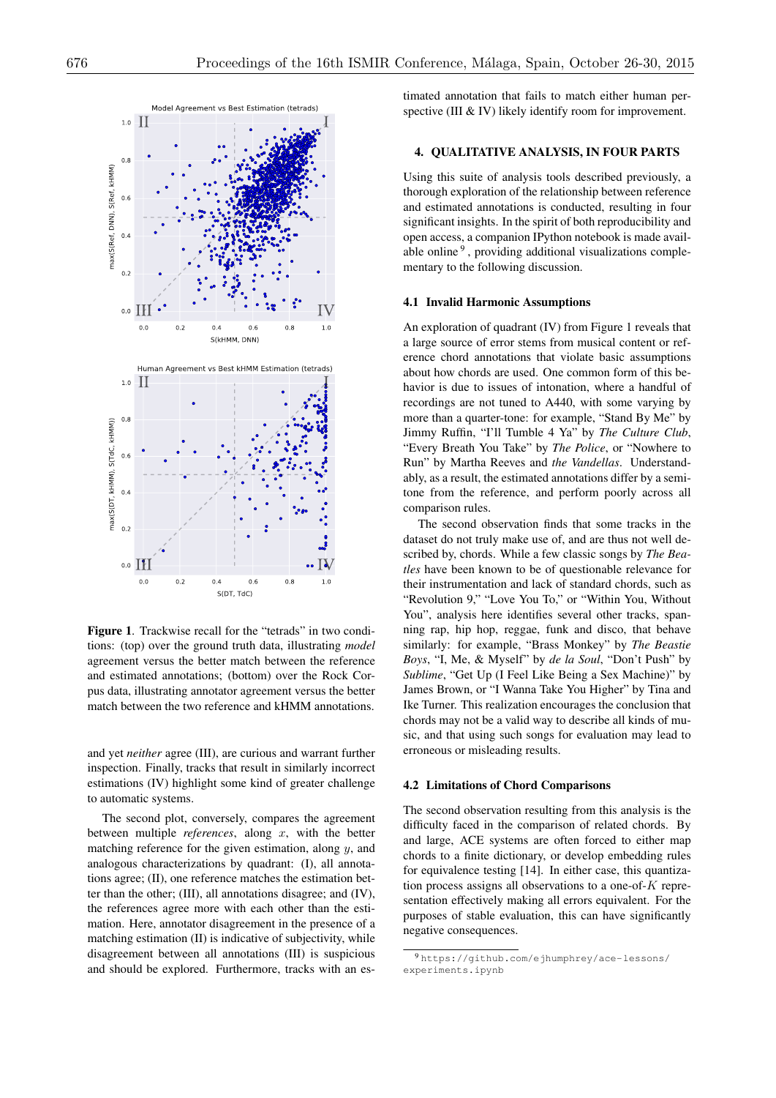

Figure 1. Trackwise recall for the "tetrads" in two conditions: (top) over the ground truth data, illustrating *model* agreement versus the better match between the reference and estimated annotations; (bottom) over the Rock Corpus data, illustrating annotator agreement versus the better match between the two reference and kHMM annotations.

and yet *neither* agree (III), are curious and warrant further inspection. Finally, tracks that result in similarly incorrect estimations (IV) highlight some kind of greater challenge to automatic systems.

The second plot, conversely, compares the agreement between multiple *references*, along *x*, with the better matching reference for the given estimation, along *y*, and analogous characterizations by quadrant: (I), all annotations agree; (II), one reference matches the estimation better than the other; (III), all annotations disagree; and (IV), the references agree more with each other than the estimation. Here, annotator disagreement in the presence of a matching estimation (II) is indicative of subjectivity, while disagreement between all annotations (III) is suspicious and should be explored. Furthermore, tracks with an estimated annotation that fails to match either human perspective (III & IV) likely identify room for improvement.

# 4. QUALITATIVE ANALYSIS, IN FOUR PARTS

Using this suite of analysis tools described previously, a thorough exploration of the relationship between reference and estimated annotations is conducted, resulting in four significant insights. In the spirit of both reproducibility and open access, a companion IPython notebook is made available online<sup>9</sup>, providing additional visualizations complementary to the following discussion.

### 4.1 Invalid Harmonic Assumptions

An exploration of quadrant (IV) from Figure 1 reveals that a large source of error stems from musical content or reference chord annotations that violate basic assumptions about how chords are used. One common form of this behavior is due to issues of intonation, where a handful of recordings are not tuned to A440, with some varying by more than a quarter-tone: for example, "Stand By Me" by Jimmy Ruffin, "I'll Tumble 4 Ya" by *The Culture Club*, "Every Breath You Take" by *The Police*, or "Nowhere to Run" by Martha Reeves and *the Vandellas*. Understandably, as a result, the estimated annotations differ by a semitone from the reference, and perform poorly across all comparison rules.

The second observation finds that some tracks in the dataset do not truly make use of, and are thus not well described by, chords. While a few classic songs by *The Beatles* have been known to be of questionable relevance for their instrumentation and lack of standard chords, such as "Revolution 9," "Love You To," or "Within You, Without You", analysis here identifies several other tracks, spanning rap, hip hop, reggae, funk and disco, that behave similarly: for example, "Brass Monkey" by *The Beastie Boys*, "I, Me, & Myself" by *de la Soul*, "Don't Push" by *Sublime*, "Get Up (I Feel Like Being a Sex Machine)" by James Brown, or "I Wanna Take You Higher" by Tina and Ike Turner. This realization encourages the conclusion that chords may not be a valid way to describe all kinds of music, and that using such songs for evaluation may lead to erroneous or misleading results.

#### 4.2 Limitations of Chord Comparisons

The second observation resulting from this analysis is the difficulty faced in the comparison of related chords. By and large, ACE systems are often forced to either map chords to a finite dictionary, or develop embedding rules for equivalence testing [14]. In either case, this quantization process assigns all observations to a one-of-*K* representation effectively making all errors equivalent. For the purposes of stable evaluation, this can have significantly negative consequences.

<sup>9</sup> https://github.com/ejhumphrey/ace-lessons/ experiments.ipynb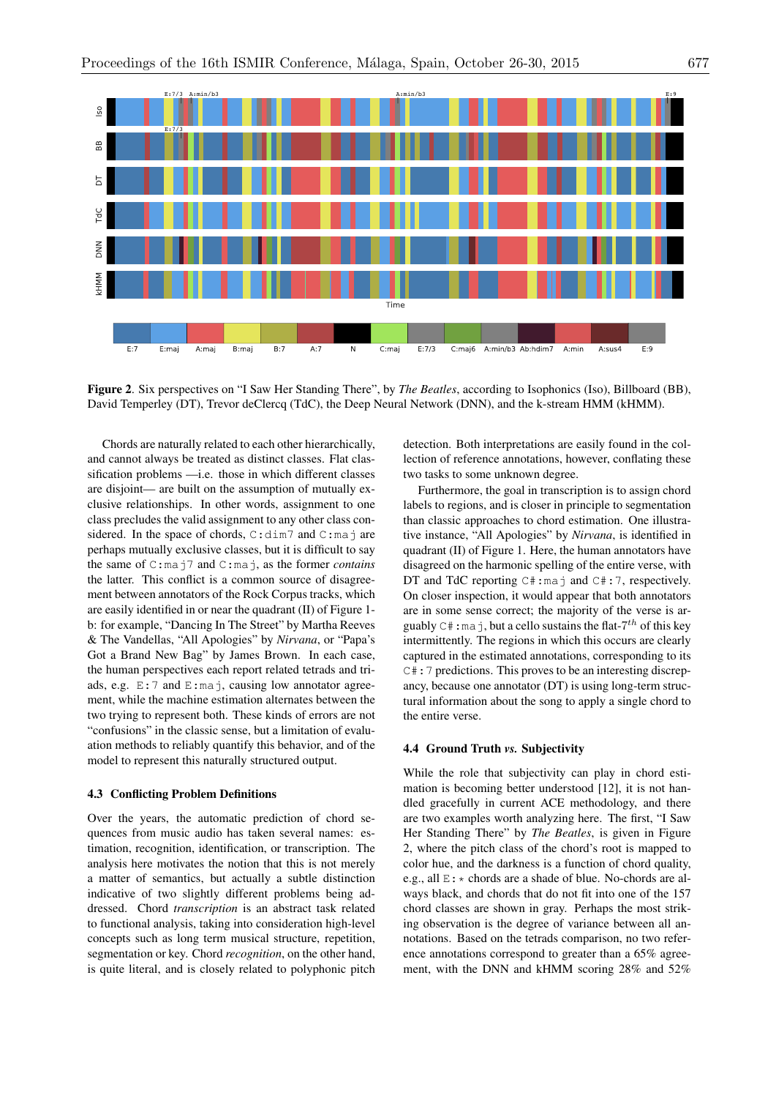

Figure 2. Six perspectives on "I Saw Her Standing There", by *The Beatles*, according to Isophonics (Iso), Billboard (BB), David Temperley (DT), Trevor deClercq (TdC), the Deep Neural Network (DNN), and the k-stream HMM (kHMM).

Chords are naturally related to each other hierarchically, and cannot always be treated as distinct classes. Flat classification problems —i.e. those in which different classes are disjoint— are built on the assumption of mutually exclusive relationships. In other words, assignment to one class precludes the valid assignment to any other class considered. In the space of chords,  $C:dim 7$  and  $C:maj$  are perhaps mutually exclusive classes, but it is difficult to say the same of C:maj7 and C:maj, as the former *contains* the latter. This conflict is a common source of disagreement between annotators of the Rock Corpus tracks, which are easily identified in or near the quadrant (II) of Figure 1 b: for example, "Dancing In The Street" by Martha Reeves & The Vandellas, "All Apologies" by *Nirvana*, or "Papa's Got a Brand New Bag" by James Brown. In each case, the human perspectives each report related tetrads and triads, e.g.  $E:7$  and  $E:maj$ , causing low annotator agreement, while the machine estimation alternates between the two trying to represent both. These kinds of errors are not "confusions" in the classic sense, but a limitation of evaluation methods to reliably quantify this behavior, and of the model to represent this naturally structured output.

# 4.3 Conflicting Problem Definitions

Over the years, the automatic prediction of chord sequences from music audio has taken several names: estimation, recognition, identification, or transcription. The analysis here motivates the notion that this is not merely a matter of semantics, but actually a subtle distinction indicative of two slightly different problems being addressed. Chord *transcription* is an abstract task related to functional analysis, taking into consideration high-level concepts such as long term musical structure, repetition, segmentation or key. Chord *recognition*, on the other hand, is quite literal, and is closely related to polyphonic pitch

detection. Both interpretations are easily found in the collection of reference annotations, however, conflating these two tasks to some unknown degree.

Furthermore, the goal in transcription is to assign chord labels to regions, and is closer in principle to segmentation than classic approaches to chord estimation. One illustrative instance, "All Apologies" by *Nirvana*, is identified in quadrant (II) of Figure 1. Here, the human annotators have disagreed on the harmonic spelling of the entire verse, with DT and TdC reporting  $C# : ma \ni$  and  $C# : 7$ , respectively. On closer inspection, it would appear that both annotators are in some sense correct; the majority of the verse is arguably  $C^*$ ; maj, but a cello sustains the flat- $7<sup>th</sup>$  of this key intermittently. The regions in which this occurs are clearly captured in the estimated annotations, corresponding to its C#:7 predictions. This proves to be an interesting discrepancy, because one annotator (DT) is using long-term structural information about the song to apply a single chord to the entire verse.

# 4.4 Ground Truth *vs.* Subjectivity

While the role that subjectivity can play in chord estimation is becoming better understood [12], it is not handled gracefully in current ACE methodology, and there are two examples worth analyzing here. The first, "I Saw Her Standing There" by *The Beatles*, is given in Figure 2, where the pitch class of the chord's root is mapped to color hue, and the darkness is a function of chord quality, e.g., all  $E:$   $\star$  chords are a shade of blue. No-chords are always black, and chords that do not fit into one of the 157 chord classes are shown in gray. Perhaps the most striking observation is the degree of variance between all annotations. Based on the tetrads comparison, no two reference annotations correspond to greater than a 65% agreement, with the DNN and kHMM scoring 28% and 52%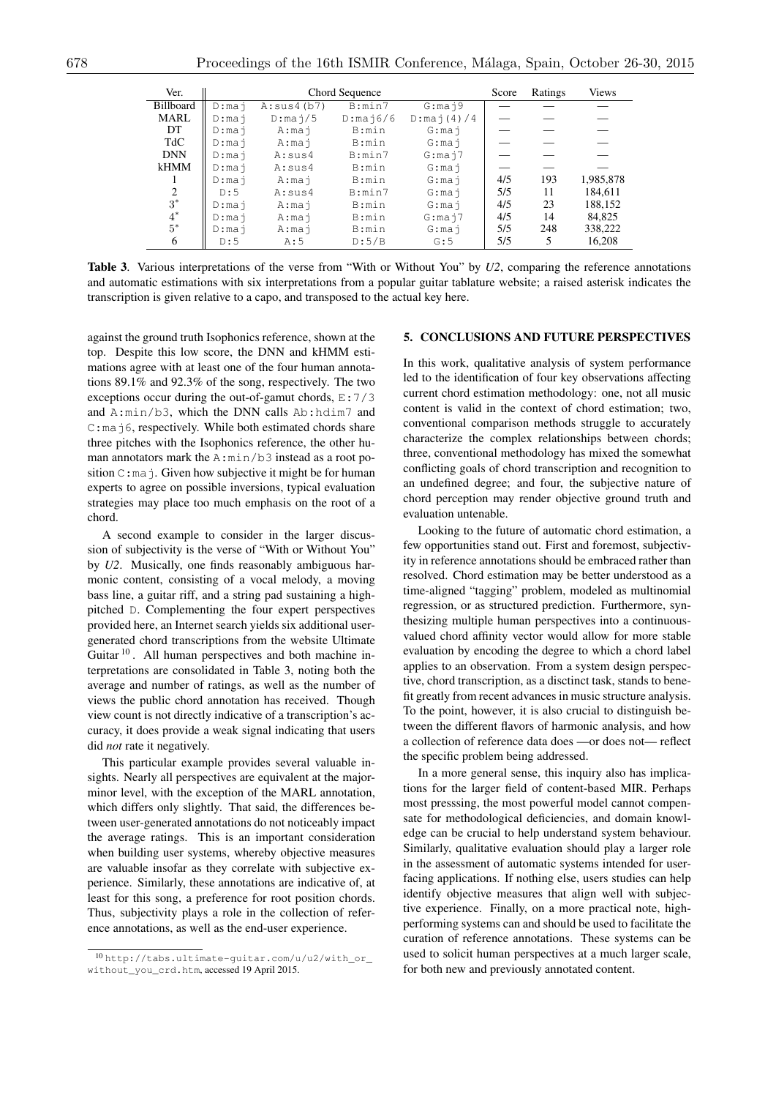| Ver.             | Chord Sequence |                             |                               |                            | Score | Ratings | <b>Views</b> |
|------------------|----------------|-----------------------------|-------------------------------|----------------------------|-------|---------|--------------|
| <b>Billboard</b> | $D:$ maj       | A: sus4(b7)                 | B:min7                        | $G: \text{ma} \ni 9$       |       |         |              |
| MARL             | $D:$ maj       | $D: \text{ma } \frac{1}{5}$ | $D: \text{ma} \text{ i } 6/6$ | $D: \text{ma} \ni (4) / 4$ |       |         |              |
| DT               | $D:$ maj       | A:mai                       | B:min                         | $G:$ maj                   |       |         |              |
| TdC              | $D:$ maj       | A:mai                       | B:min                         | G:mai                      |       |         |              |
| <b>DNN</b>       | $D:$ maj       | A:sus4                      | B:min7                        | $G:$ maj $7$               |       |         |              |
| kHMM             | $D:$ mai       | A:sus4                      | B:min                         | G:mai                      |       |         |              |
|                  | $D:$ maj       | $A:$ maj                    | B:min                         | G:mai                      | 4/5   | 193     | 1,985,878    |
| 2                | D:5            | A:sus4                      | B:min7                        | G:mai                      | 5/5   | 11      | 184,611      |
| $3^*$            | $D:$ mai       | A:mai                       | B:min                         | $G:$ mai                   | 4/5   | 23      | 188,152      |
| $4^*$            | $D:$ maj       | A:mai                       | B:min                         | $G: \text{ma} \dot{1}$     | 4/5   | 14      | 84.825       |
| $5^*$            | $D:$ maj       | A:mai                       | B:min                         | $G:$ mai                   | 5/5   | 248     | 338,222      |
| 6                | D:5            | A:5                         | D:5/B                         | G:5                        | 5/5   | 5       | 16,208       |

Table 3. Various interpretations of the verse from "With or Without You" by *U2*, comparing the reference annotations and automatic estimations with six interpretations from a popular guitar tablature website; a raised asterisk indicates the transcription is given relative to a capo, and transposed to the actual key here.

against the ground truth Isophonics reference, shown at the top. Despite this low score, the DNN and kHMM estimations agree with at least one of the four human annotations 89.1% and 92.3% of the song, respectively. The two exceptions occur during the out-of-gamut chords, E:7/3 and A:min/b3, which the DNN calls Ab:hdim7 and C:maj6, respectively. While both estimated chords share three pitches with the Isophonics reference, the other human annotators mark the A:min/b3 instead as a root position C:maj. Given how subjective it might be for human experts to agree on possible inversions, typical evaluation strategies may place too much emphasis on the root of a chord.

A second example to consider in the larger discussion of subjectivity is the verse of "With or Without You" by *U2*. Musically, one finds reasonably ambiguous harmonic content, consisting of a vocal melody, a moving bass line, a guitar riff, and a string pad sustaining a highpitched D. Complementing the four expert perspectives provided here, an Internet search yields six additional usergenerated chord transcriptions from the website Ultimate Guitar  $10<sup>10</sup>$ . All human perspectives and both machine interpretations are consolidated in Table 3, noting both the average and number of ratings, as well as the number of views the public chord annotation has received. Though view count is not directly indicative of a transcription's accuracy, it does provide a weak signal indicating that users did *not* rate it negatively.

This particular example provides several valuable insights. Nearly all perspectives are equivalent at the majorminor level, with the exception of the MARL annotation, which differs only slightly. That said, the differences between user-generated annotations do not noticeably impact the average ratings. This is an important consideration when building user systems, whereby objective measures are valuable insofar as they correlate with subjective experience. Similarly, these annotations are indicative of, at least for this song, a preference for root position chords. Thus, subjectivity plays a role in the collection of reference annotations, as well as the end-user experience.

# 5. CONCLUSIONS AND FUTURE PERSPECTIVES

In this work, qualitative analysis of system performance led to the identification of four key observations affecting current chord estimation methodology: one, not all music content is valid in the context of chord estimation; two, conventional comparison methods struggle to accurately characterize the complex relationships between chords; three, conventional methodology has mixed the somewhat conflicting goals of chord transcription and recognition to an undefined degree; and four, the subjective nature of chord perception may render objective ground truth and evaluation untenable.

Looking to the future of automatic chord estimation, a few opportunities stand out. First and foremost, subjectivity in reference annotations should be embraced rather than resolved. Chord estimation may be better understood as a time-aligned "tagging" problem, modeled as multinomial regression, or as structured prediction. Furthermore, synthesizing multiple human perspectives into a continuousvalued chord affinity vector would allow for more stable evaluation by encoding the degree to which a chord label applies to an observation. From a system design perspective, chord transcription, as a disctinct task, stands to benefit greatly from recent advances in music structure analysis. To the point, however, it is also crucial to distinguish between the different flavors of harmonic analysis, and how a collection of reference data does —or does not— reflect the specific problem being addressed.

In a more general sense, this inquiry also has implications for the larger field of content-based MIR. Perhaps most presssing, the most powerful model cannot compensate for methodological deficiencies, and domain knowledge can be crucial to help understand system behaviour. Similarly, qualitative evaluation should play a larger role in the assessment of automatic systems intended for userfacing applications. If nothing else, users studies can help identify objective measures that align well with subjective experience. Finally, on a more practical note, highperforming systems can and should be used to facilitate the curation of reference annotations. These systems can be used to solicit human perspectives at a much larger scale, for both new and previously annotated content.

<sup>10</sup> http://tabs.ultimate-guitar.com/u/u2/with\_or\_ without\_you\_crd.htm, accessed 19 April 2015.